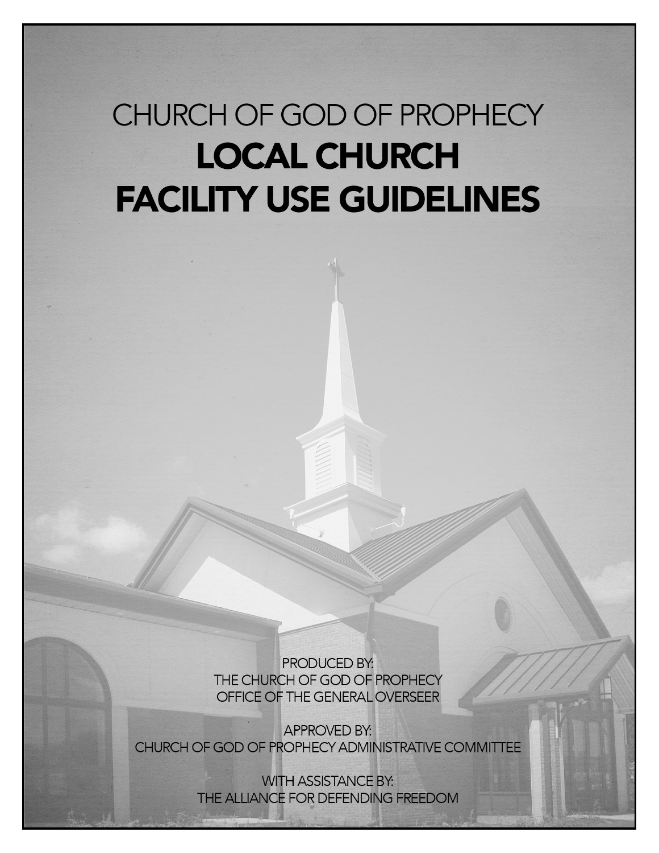# CHURCH OF GOD OF PROPHECY **LOCAL CHURCH FACILITY USE GUIDELINES**

PRODUCED BY: THE CHURCH OF GOD OF PROPHECY OFFICE OF THE GENERAL OVERSEER

**APPROVED BY:** CHURCH OF GOD OF PROPHECY ADMINISTRATIVE COMMITTEE

> **WITH ASSISTANCE BY:** THE ALLIANCE FOR DEFENDING FREEDOM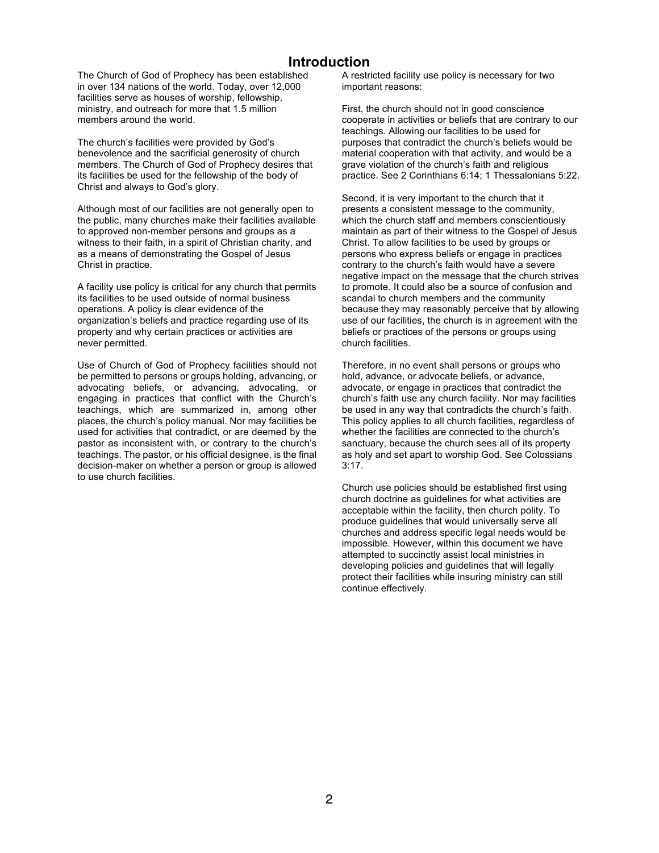## **Introduction**

The Church of God of Prophecy has been established in over 134 nations of the world. Today, over 12,000 facilities serve as houses of worship, fellowship, ministry, and outreach for more that 1.5 million members around the world.

The church's facilities were provided by God's benevolence and the sacrificial generosity of church members. The Church of God of Prophecy desires that its facilities be used for the fellowship of the body of Christ and always to God's glory.

Although most of our facilities are not generally open to the public, many churches make their facilities available to approved non-member persons and groups as a witness to their faith, in a spirit of Christian charity, and as a means of demonstrating the Gospel of Jesus Christ in practice.

A facility use policy is critical for any church that permits its facilities to be used outside of normal business operations. A policy is clear evidence of the organization's beliefs and practice regarding use of its property and why certain practices or activities are never permitted.

Use of Church of God of Prophecy facilities should not be permitted to persons or groups holding, advancing, or advocating beliefs, or advancing, advocating, or engaging in practices that conflict with the Church's teachings, which are summarized in, among other places, the church's policy manual. Nor may facilities be used for activities that contradict, or are deemed by the pastor as inconsistent with, or contrary to the church's teachings. The pastor, or his official designee, is the final decision-maker on whether a person or group is allowed to use church facilities.

A restricted facility use policy is necessary for two important reasons:

First, the church should not in good conscience cooperate in activities or beliefs that are contrary to our teachings. Allowing our facilities to be used for purposes that contradict the church's beliefs would be material cooperation with that activity, and would be a grave violation of the church's faith and religious practice. See 2 Corinthians 6:14; 1 Thessalonians 5:22.

Second, it is very important to the church that it presents a consistent message to the community, which the church staff and members conscientiously maintain as part of their witness to the Gospel of Jesus Christ. To allow facilities to be used by groups or persons who express beliefs or engage in practices contrary to the church's faith would have a severe negative impact on the message that the church strives to promote. It could also be a source of confusion and scandal to church members and the community because they may reasonably perceive that by allowing use of our facilities, the church is in agreement with the beliefs or practices of the persons or groups using church facilities.

Therefore, in no event shall persons or groups who hold, advance, or advocate beliefs, or advance, advocate, or engage in practices that contradict the church's faith use any church facility. Nor may facilities be used in any way that contradicts the church's faith. This policy applies to all church facilities, regardless of whether the facilities are connected to the church's sanctuary, because the church sees all of its property as holy and set apart to worship God. See Colossians  $3:17$ 

Church use policies should be established first using church doctrine as guidelines for what activities are acceptable within the facility, then church polity. To produce guidelines that would universally serve all churches and address specific legal needs would be impossible. However, within this document we have attempted to succinctly assist local ministries in developing policies and guidelines that will legally protect their facilities while insuring ministry can still continue effectively.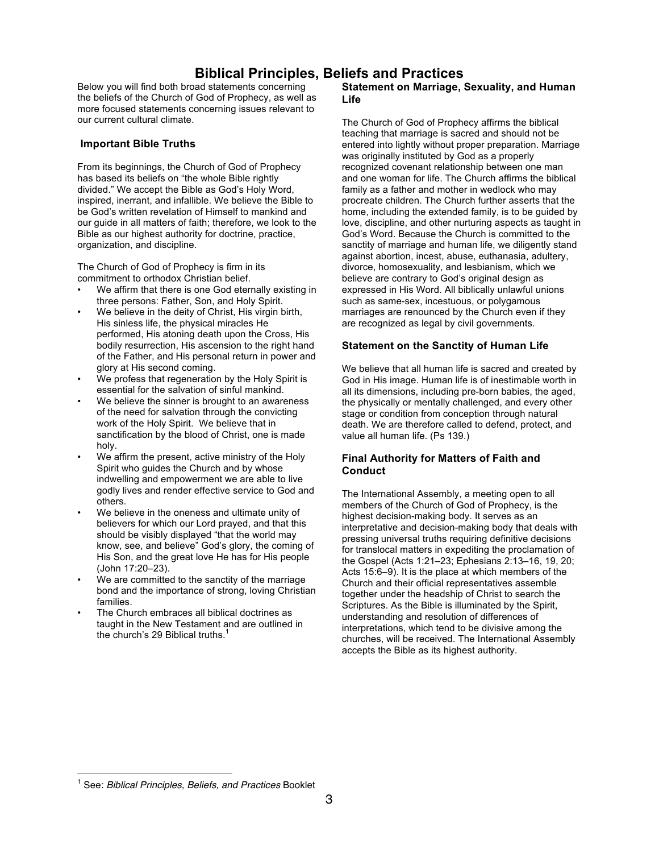# **Biblical Principles, Beliefs and Practices**

Below you will find both broad statements concerning the beliefs of the Church of God of Prophecy, as well as more focused statements concerning issues relevant to our current cultural climate.

#### **Important Bible Truths**

From its beginnings, the Church of God of Prophecy has based its beliefs on "the whole Bible rightly divided." We accept the Bible as God's Holy Word, inspired, inerrant, and infallible. We believe the Bible to be God's written revelation of Himself to mankind and our guide in all matters of faith: therefore, we look to the Bible as our highest authority for doctrine, practice, organization, and discipline.

The Church of God of Prophecy is firm in its commitment to orthodox Christian belief.

- We affirm that there is one God eternally existing in three persons: Father, Son, and Holy Spirit.
- We believe in the deity of Christ, His virgin birth, His sinless life, the physical miracles He performed, His atoning death upon the Cross, His bodily resurrection, His ascension to the right hand of the Father, and His personal return in power and glory at His second coming.
- We profess that regeneration by the Holy Spirit is essential for the salvation of sinful mankind.
- We believe the sinner is brought to an awareness of the need for salvation through the convicting work of the Holy Spirit. We believe that in sanctification by the blood of Christ, one is made holy.
- We affirm the present, active ministry of the Holy Spirit who guides the Church and by whose indwelling and empowerment we are able to live godly lives and render effective service to God and others.
- We believe in the oneness and ultimate unity of believers for which our Lord prayed, and that this should be visibly displayed "that the world may know, see, and believe" God's glory, the coming of His Son, and the great love He has for His people (John 17:20–23).
- We are committed to the sanctity of the marriage bond and the importance of strong, loving Christian families.
- The Church embraces all biblical doctrines as taught in the New Testament and are outlined in the church's 29 Biblical truths.

#### **Statement on Marriage, Sexuality, and Human Life**

The Church of God of Prophecy affirms the biblical teaching that marriage is sacred and should not be entered into lightly without proper preparation. Marriage was originally instituted by God as a properly recognized covenant relationship between one man and one woman for life. The Church affirms the biblical family as a father and mother in wedlock who may procreate children. The Church further asserts that the home, including the extended family, is to be guided by love, discipline, and other nurturing aspects as taught in God's Word. Because the Church is committed to the sanctity of marriage and human life, we diligently stand against abortion, incest, abuse, euthanasia, adultery, divorce, homosexuality, and lesbianism, which we believe are contrary to God's original design as expressed in His Word. All biblically unlawful unions such as same-sex, incestuous, or polygamous marriages are renounced by the Church even if they are recognized as legal by civil governments.

#### **Statement on the Sanctity of Human Life**

We believe that all human life is sacred and created by God in His image. Human life is of inestimable worth in all its dimensions, including pre-born babies, the aged, the physically or mentally challenged, and every other stage or condition from conception through natural death. We are therefore called to defend, protect, and value all human life. (Ps 139.)

### **Final Authority for Matters of Faith and Conduct**

The International Assembly, a meeting open to all members of the Church of God of Prophecy, is the highest decision-making body. It serves as an interpretative and decision-making body that deals with pressing universal truths requiring definitive decisions for translocal matters in expediting the proclamation of the Gospel (Acts 1:21–23; Ephesians 2:13–16, 19, 20; Acts 15:6–9). It is the place at which members of the Church and their official representatives assemble together under the headship of Christ to search the Scriptures. As the Bible is illuminated by the Spirit, understanding and resolution of differences of interpretations, which tend to be divisive among the churches, will be received. The International Assembly accepts the Bible as its highest authority.

<sup>1</sup> See: *Biblical Principles, Beliefs, and Practices* Booklet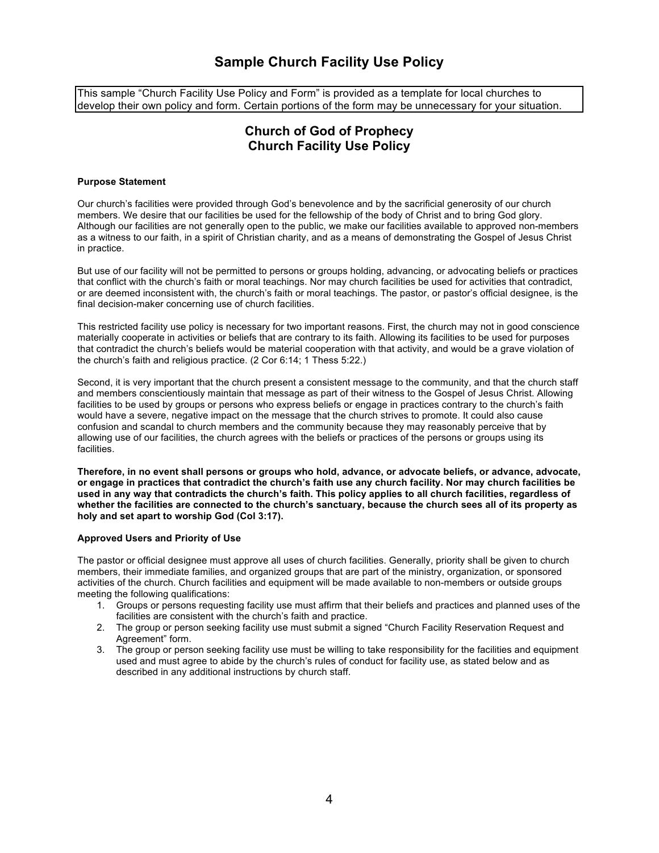# **Sample Church Facility Use Policy**

This sample "Church Facility Use Policy and Form" is provided as a template for local churches to develop their own policy and form. Certain portions of the form may be unnecessary for your situation.

# **Church of God of Prophecy Church Facility Use Policy**

#### **Purpose Statement**

Our church's facilities were provided through God's benevolence and by the sacrificial generosity of our church members. We desire that our facilities be used for the fellowship of the body of Christ and to bring God glory. Although our facilities are not generally open to the public, we make our facilities available to approved non-members as a witness to our faith, in a spirit of Christian charity, and as a means of demonstrating the Gospel of Jesus Christ in practice.

But use of our facility will not be permitted to persons or groups holding, advancing, or advocating beliefs or practices that conflict with the church's faith or moral teachings. Nor may church facilities be used for activities that contradict, or are deemed inconsistent with, the church's faith or moral teachings. The pastor, or pastor's official designee, is the final decision-maker concerning use of church facilities.

This restricted facility use policy is necessary for two important reasons. First, the church may not in good conscience materially cooperate in activities or beliefs that are contrary to its faith. Allowing its facilities to be used for purposes that contradict the church's beliefs would be material cooperation with that activity, and would be a grave violation of the church's faith and religious practice.  $(2 \text{ Cor } 6:14; 1 \text{ Thess } 5:22.)$ 

Second, it is very important that the church present a consistent message to the community, and that the church staff and members conscientiously maintain that message as part of their witness to the Gospel of Jesus Christ. Allowing facilities to be used by groups or persons who express beliefs or engage in practices contrary to the church's faith would have a severe, negative impact on the message that the church strives to promote. It could also cause confusion and scandal to church members and the community because they may reasonably perceive that by allowing use of our facilities, the church agrees with the beliefs or practices of the persons or groups using its facilities.

Therefore, in no event shall persons or groups who hold, advance, or advocate beliefs, or advance, advocate, or engage in practices that contradict the church's faith use any church facility. Nor may church facilities be used in any way that contradicts the church's faith. This policy applies to all church facilities, regardless of whether the facilities are connected to the church's sanctuary, because the church sees all of its property as **holy and set apart to worship God (Col 3:17).**

#### **Approved Users and Priority of Use**

The pastor or official designee must approve all uses of church facilities. Generally, priority shall be given to church members, their immediate families, and organized groups that are part of the ministry, organization, or sponsored activities of the church. Church facilities and equipment will be made available to non-members or outside groups meeting the following qualifications:

- 1. Groups or persons requesting facility use must affirm that their beliefs and practices and planned uses of the facilities are consistent with the church's faith and practice.
- 2. The group or person seeking facility use must submit a signed "Church Facility Reservation Request and Agreement" form.
- 3. The group or person seeking facility use must be willing to take responsibility for the facilities and equipment used and must agree to abide by the church's rules of conduct for facility use, as stated below and as described in any additional instructions by church staff.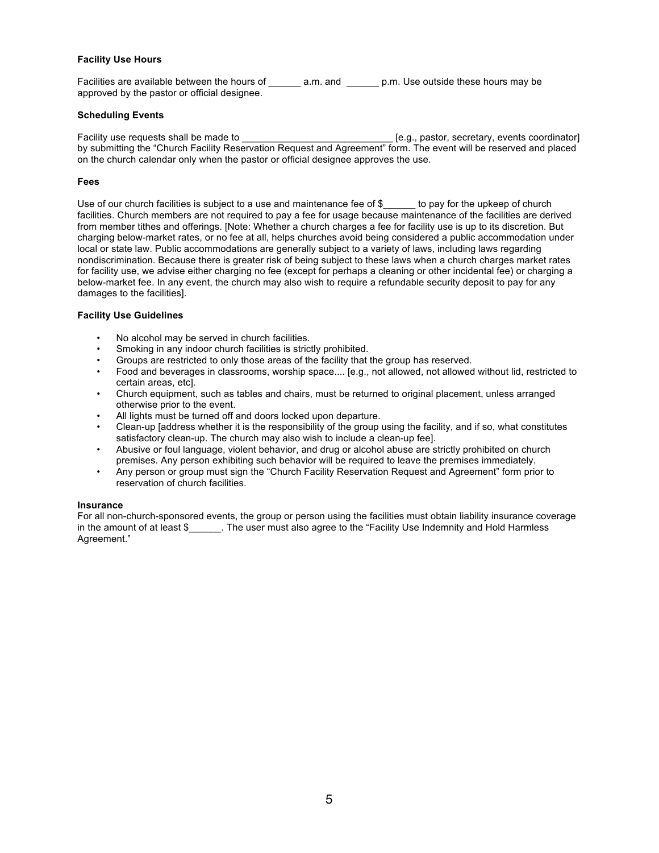#### **Facility Use Hours**

Facilities are available between the hours of  $\qquad$  a.m. and  $\qquad$  p.m. Use outside these hours may be approved by the pastor or official designee.

#### **Scheduling Events**

Facility use requests shall be made to \_\_\_\_\_\_\_\_\_\_\_\_\_\_\_\_\_\_\_\_\_\_\_\_\_\_\_\_ [e.g., pastor, secretary, events coordinator] by submitting the "Church Facility Reservation Request and Agreement" form. The event will be reserved and placed on the church calendar only when the pastor or official designee approves the use.

#### **Fees**

Use of our church facilities is subject to a use and maintenance fee of  $\$$  to pay for the upkeep of church facilities. Church members are not required to pay a fee for usage because maintenance of the facilities are derived from member tithes and offerings. [Note: Whether a church charges a fee for facility use is up to its discretion. But charging below-market rates, or no fee at all, helps churches avoid being considered a public accommodation under local or state law. Public accommodations are generally subject to a variety of laws, including laws regarding nondiscrimination. Because there is greater risk of being subject to these laws when a church charges market rates for facility use, we advise either charging no fee (except for perhaps a cleaning or other incidental fee) or charging a below-market fee. In any event, the church may also wish to require a refundable security deposit to pay for any damages to the facilities].

#### **Facility Use Guidelines**

- No alcohol may be served in church facilities.
- Smoking in any indoor church facilities is strictly prohibited.
- Groups are restricted to only those areas of the facility that the group has reserved.
- Food and beverages in classrooms, worship space.... [e.g., not allowed, not allowed without lid, restricted to certain areas, etc].
- Church equipment, such as tables and chairs, must be returned to original placement, unless arranged otherwise prior to the event.
- All lights must be turned off and doors locked upon departure.
- Clean-up [address whether it is the responsibility of the group using the facility, and if so, what constitutes satisfactory clean-up. The church may also wish to include a clean-up feel.
- Abusive or foul language, violent behavior, and drug or alcohol abuse are strictly prohibited on church premises. Any person exhibiting such behavior will be required to leave the premises immediately.
- Any person or group must sign the "Church Facility Reservation Request and Agreement" form prior to reservation of church facilities.

#### **Insurance**

For all non-church-sponsored events, the group or person using the facilities must obtain liability insurance coverage in the amount of at least \$ The user must also agree to the "Facility Use Indemnity and Hold Harmless Agreement."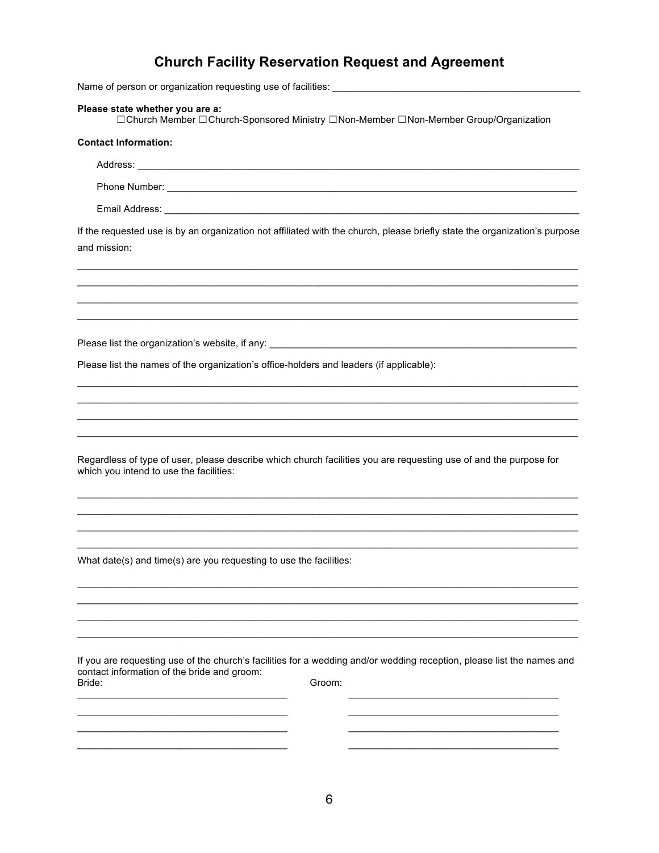# **Church Facility Reservation Request and Agreement**

Name of person or organization requesting use of facilities: \_\_\_\_\_

Please state whether you are a:<br>□Church Member □Church-Sponsored Ministry □Non-Member □Non-Member Group/Organization

| <b>Contact Information:</b>                                                                                                                                                               |
|-------------------------------------------------------------------------------------------------------------------------------------------------------------------------------------------|
|                                                                                                                                                                                           |
|                                                                                                                                                                                           |
|                                                                                                                                                                                           |
| If the requested use is by an organization not affiliated with the church, please briefly state the organization's purpose<br>and mission:                                                |
|                                                                                                                                                                                           |
|                                                                                                                                                                                           |
| Please list the names of the organization's office-holders and leaders (if applicable):                                                                                                   |
|                                                                                                                                                                                           |
|                                                                                                                                                                                           |
| Regardless of type of user, please describe which church facilities you are requesting use of and the purpose for<br>which you intend to use the facilities:                              |
|                                                                                                                                                                                           |
| What date(s) and time(s) are you requesting to use the facilities:                                                                                                                        |
|                                                                                                                                                                                           |
| If you are requesting use of the church's facilities for a wedding and/or wedding reception, please list the names and<br>contact information of the bride and groom:<br>Groom:<br>Bride: |
|                                                                                                                                                                                           |